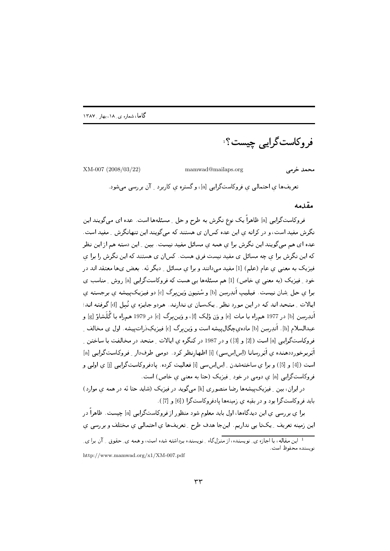فر و کاست گرایی چیست؟ َ

XM-007 (2008/03/22)

mamwad@mailaps.org

محمد خرمے

تعریفها ی احتمالی ی فروکاستگرایی [a]، و گستره ی کاربرد <sub>-</sub> آن بررسی میشود.

مقدمه

فروکاستگرایی [a] ظاهراً یک نوع نگرش به طرح و حل ِ مسئلهها است. عده ای میگویند این نگرش مفید است، و در کرانه ی این عده کس|ن ی هستند که می گویند این تنهانگرش \_ مفید است. عده ای هم میگویند این نگرش برا ی همه ی مسائل مفید نیست. بین ِ این دسته هم از این نظر که این نگرش برا ی چه مسائل ی مفید نیست فرق هست. کس|ن ی هستند که این نگرش را برا ی فیزیک به معنیی ی عام (علم) [1] مفید میدانند و برا ی مسائل ِ دیگر نَه ـ بعض یها معتقد اند در خود ِ فيزيک (به معنى ي خاص) [1] هم مسئلهها يبي هست که فروکاستگرايبي [a] روش ِ مناسب ي برا ی حل شان نیست. فیلیپ اَندِرسِن [b] و سْتیون وَین برگ [c] دو فیزیک پیشه ی برجسته ی ایالات ِ متحد اند که در این مورد نظر ِ یکسان ی ندارند. هردو جایزه ی نُبل [d] گرفته اند؛ أنـدِرسِن [b] در 1977 هـمراه بـا مـات [e] و وَن وْلِـِک [f]، و وَيــن بـرگ [c] در 1979 هـمراه بـا گُـلَـشاؤ [g] و عبدالسلام [h]. اَندِرسِن [b] ماده،يچگالِ پيشه است و وَين برگ [c] فيزيکِ دْراتييشه. اول ی مخالف ِ فروكاستگرايي [a] است ( [2] و [3]) و در 1987 در كنگره ي ايالات \_ متحد در مخالفت با ساختن \_ اَبَربرخورددهنده ی اَبَررسانا (اِس اِس سی) [i] اظهارنظر کرد. دومی طرفدار ِ فروکاستگرایی [a] است ([4] و [5]) و برا ي ساختهشدن ـ اِس اِس سي [i] فعاليت كرده. يادفروكاستگرايبي [j] ي اولبي و فروکاستگرایی [a] ی دومی در خود <sub>-</sub> فیزیک (حتا به معنی ی خاص) است.

در ایران، بین ِ فیزیک پیشهها رضا منصوری [k] میگوید در فیزیک (شاید حتا نَه در همه ی موارد) بايد فروكاست گرا بود و در بقيه ي زمينهها يادفروكاستگرا ( [6] و [7]).

برا ی بررسی ی این دیدگاهها، اول باید معلوم شود منظور از فروکاستگرایی [a] چیست. ظاهراً در این زمینه تعریف ِ یکتا یی نداریم. اینجا هدف طرح ِ تعریفها ی احتمالی ی مختلف و بررسی ی

http://www.mamwad.org/x1/XM-007.pdf

<sup>۔&</sup>lt;br><sup>1</sup> این مقاله، با اجازه ی ِ نویسنده، از منزلگاه ِ نویسنده برداشته شده است، و همه ی ِ حقوق ِ ِ آن برا ی ِ نو بسنده محفوظ است.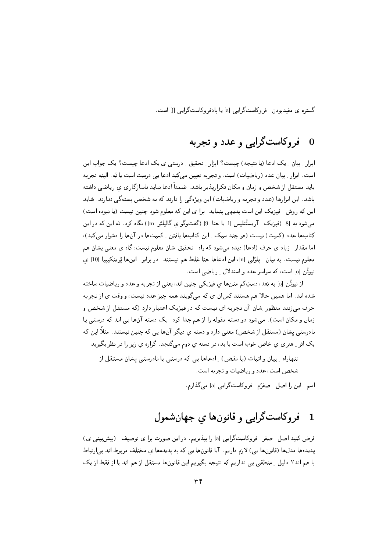گستره ی مفیدبودن ِ فروکاستگرایی [a] یا یادفروکاستگرایی [j] است.

### فروكاستگرايبي و عدد و تجربه  $\overline{\mathbf{0}}$

ابزار ِ بیان ِ یک ادعا (یا نتیجه) چیست؟ ابزار ِ تحقیق ِ ِ درستی ی یک ادعا چیست؟ یک جواب این است. ابزار \_ بيان عدد (رياضيات) است، و تجربه تعيين مي كند ادعا يي درست است يا نَه. البته تجربه باید مستقل از شخص و زمان و مکان تکراریذیر باشد. ضمناً ادعا نباید ناسازگاری ی ریاضی داشته باشد. این ابزارها (عدد و تجربه و ریاضیات) این ویژهگی را دارند که به شخص بستهگی ندارند. شاید این که روش ِ فیزیک این است بدیهی بنماید. برا ی این که معلوم شود چنین نیست (یا نبوده است) می،شود به [8] (فیزیک ِ آریستُتِلیس [1] یا حتا [9] (گفتوگو ی گالیلئو [m]) نگاه کرد. نَه این که در این کتابها عدد (کمیت) نیست (هر چند سبک ِ این کتابها یافتن ِ کمیتها در آنها را دشوار میکند)، اما مقدار ِ ِ زياد ي حرف (ادعا) ديده ميشود كه راه ِ تحقيق ِ شان معلوم نيست، گاه ي معنى يشان هم معلوم نيست. به بيان \_ پاؤلى [n]، اين ادعاها حتا غلط هم نيستند. در برابر \_ اينها پْرينكيييا [10] ي نیوتُن [o] است، که سراسر عدد و استدلال ِ ریاضی است.

از نیوتُن [o] به بَعد، دستِکم متنها ی فیزیکی چنین اند، یعنی از تجربه و عدد و ریاضیات ساخته شده اند. اما همین حالا هم هستند کسان ی که میگویند همه چیز عدد نیست، و وقت ی از تجربه حرف می زنند منظور ِ شان آن تجربه ای نیست که در فیزیک اعتبار دارد (که مستقل از شخص و زمان و مکان است). می شود دو دسته مقوله را از هم جدا کرد. یک دسته آنها یی اند که درستی یا نادرستمی پِشان (مستقل از شخص) معنی دارد و دسته ی دیگر آنها یبی که چنین نیستند. مثلاً این که یک اثر ِ هنری ی خاص خوب است یا بد، در دسته ی دوم میگنجد. گزاره ی زیر را در نظر بگیرید.

تنهاراه ِ بِيانِ و اثبات (يا نقض) ِ ادعاها يبي كه درستي يا نادرستي يشان مستقل از شخص است، عدد و ریاضیات و تجربه است.

اسم ِ این را اصل ِ صفرُم ِ فروکاستگرایی [a] میگذارم.

### فروكاستگرايي و قانون ها ي جهان شمول  $\mathbf 1$

فرض کنید اصل ِ صفر ِ فروکاستگرایی [a] را بپذیریم. در این صورت برا ی توصیف ِ (پیشبینی ی) پدیدهها مدلها (قانونها یی) لازم داریم. آیا قانونها یی که به پدیدهها ی مختلف مربوط اند بی|رتباط با هم اند؟ دلیل \_ منطقی یی نداریم که نتیجه بگیریم این قانونها مستقل از هم اند یا از فقط از یک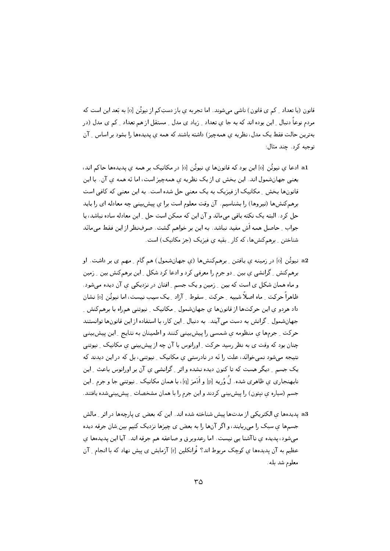قانون (یا تعداد \_ کم ی قانون) ناشی می شوند. اما تجربه ی باز دستِکم از نیوتُن [o] به بَعد این است که مردم نوعاً دنبال ِ این بوده اند که به جا ی تعداد ِ زیاد ی مدل ِ مستقل از هم تعداد ِ کم ی مدل (در بهترین حالت فقط یک مدل، نظریه ی همهچیز) داشته باشند که همه ی پدیدهها را بشود بر اساس ِ آن توجيه كرد. چند مثال:

- a1 ادعا ی نیوتُن [o] این بود که قانونها ی نیوتُن [o] در مکانیک بر همه ی بدیدهها جاکم اند، یعنبی جهانشمول اند. این بخش ی ازیک نظریه ی همهچیز است، اما نَه همه ی آن. با این ۔<br>قانون&ا بخش ِ مکانیک از فیزیک به یک معنی حل شده است. به این معنی که کافی است برهمکنشها (نیروها) را بشناسیم. آن وقت معلوم است برا ی پیش بینی چه معادله ای را باید حل کرد. البته یک نکته باقبی می مانَد و آن این که ممکن است حل ِ این معادله ساده نباشد، یا جواب \_ حاصل همه اَش مفيد نباشد. به اين بر خواهم گشت. صرفِنظر از اين فقط مىمانَد شناختن ِ برهم کنشها، که کار ِ بقیه ی فیزیک (جز مکانیک) است.
- a2 نیوتُن [o] در زمینه ی یافتن ِ برهمکنشها (ی جهانشمول) هم گام ِ مهم ی بر داشت. او برهمکنش ِ گرانشی ی بین ِ دو جرم را معرفی کرد و ادعا کرد شکل ِ این برهمکنش بین ِ زمین و ماه همان شکل ی است که بین ِ زمین و یک جسم ِ افتان در نزدیکی ی آن دیده میشود. ظاهراً حرکت ِ ماه اصلاً شبیه ِ حرکت ِ سقوط ِ آزاد ِ یک سیب نیست، اما نیوتُن [o] نشان داد هردو ی این حرکتها از قانونها ی جهانشمول ِ مکانیک ِ نیوتنی همراه با برهمکنش ِ جهانشمول ِ گرانش به دست می آیند. به دنبال ِ این کار، با استفاده از این قانونها توانستند حرکت ِ جرمها ي منظومه ي شمسي را پيشبيني کنند و اطمينان به نتايج ِ اين پيشبيني چنان بود که وقت ی به نظر رسید حرکت ِ اورانوس با آن چه از پیش بینبی ی مکانیک ِ نیوتنبی نتیجه می شود نمی خوانَد، علت را نَه در نادرستی ی مکانیک ِ نیوتنی، بل که در این دیدند که یک جسم ِ دیگر هست که تا کنون دیده نشده و اثر ِ گرانشی ی آن بر اورانوس باعث ِ این نابهنجاری ی ظاهری شده. لُ وُریه [p] و اَدَمز [q]، با همان مکانیک ِ نیوتنی جا و جرم ِ این جسم (سیاره ی نیتون) را پیش بینی کردند و این جرم را با همان مشخصات ِ پیش بینیشده یافتند.
- a3 پدیدهها ی الکتریکی از مدتها پیش شناخته شده اند. این که بعض ی پارچهها در اثر <sub>-</sub> مالش جسمها ی سبک را می ربایند، و اگر آنها را به بعض ی چیزها نزدیک کنیم بین ِشان جرقه دیده میشود، پدیده ی ناآشنا یی نیست. اما رعدوبرق و صاعقه هم جرقه اند. آیا این پدیدهها ی عظیم به آن یدیدهها ی کوچک مربوط اند؟ فْرانکلین [r] آزمایش ی پیش نهاد که با انجام <sub>-</sub> آن معلوم شد بله.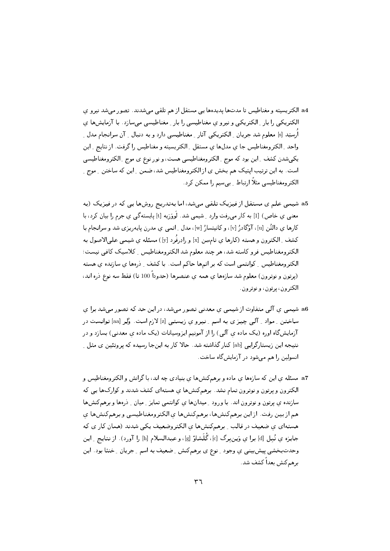- a4 الكتريسيته و مغناطيس تا مدتها يديدهها يبي مستقل از هم تلقى مى شدند. تصور مى شد نيرو ي الکتریکی را بار ِ الکتریکی و نیرو ی مغناطیسی را بار ِ مغناطیسی می سازد. با آزمایش ها ی اُرستِد [s] معلوم شد جريان ِ الكتريكي آثار ِ مغناطيسي دارد و به دنبال ِ آن سرانجام مدل ِ واحد ِ الكترومغناطيس جا ي مدلها ي مستقل ِ الكتريسيته و مغناطيس را گرفت. از نتايج ِ اين یکپیشدن کشف ِ این بود که موج ِ الکترومغناطیسی هست، و نورنوع ی موج ِ الکترومغناطیسی است. به این ترتیب ایتیک هم بخش ی از الکترومغناطیس شد، ضمن ِ این که ساختن ِ موج ِ الکترومغناطیسی مثلاً ارتباط ِ بی سیم را ممکن کرد.
- a5 شیمی علم ی مستقل از فیزیک تلقی میشد، اما بهتدریج روشها یی که در فیزیک (به معنبی ی خاص) [1] به کار میرفت وارد ِ شیمی شد. لَووَزیه [t] پایستهگی ی جرم را بیان کرد، با كارها ي دالتُن [u]، آوًگادرُ [v]، و كانيتسارُ [w]، مدل ِ اتمي ي مدرن پايهريزي شد و سرانجام با كشف ِ الكترون و هسته (كارها ي تـامسِن [x] و رادِرفُرد [y]) مسئله ي شيميي علىالاصول به الکترومغناطیس فرو کاسته شد، هر چند معلوم شد الکترومغناطیس \_ کلاسیک کافی نیست؛ الکترومغناطیس ِ کوانتمی است که بر اتمها حاکم است. با کشف ِ ذرهها ی سازنده ی هسته (پرتون و نوترون) معلوم شد سازهها ی همه ی عنصرها (حدوداً 100 تا) فقط سه نوع ذره اند، الكترون، پرتون، و نوترون.
- a6 شیمی ی آلی متفاوت از شیمی ی معدنی تصور میشد، در این حد که تصور میشد برا ی ساختن \_ مواد \_ آلمي چيز ي به اسم \_ نيرو ي زيستبي [z] لازم است. وُلِر [aa] توانست در آزمایشگاه اوره (یک ماده ی آلمی) را از آمونیم ایزوسیانات (یک ماده ی معدنی) بسازد و در نتیجه این زیستارگرایی [ab] کنار گذاشته شد. حالا کار به اینجا رسیده که پروتئین ی مثل <sub>-</sub> انسولین را هم می شود در آزمایش گاه ساخت.
- a7 مسئله ی این که سازهها ی ماده و برهمکنشها ی بنیادی چه اند، با گرانش و الکترومغناطیس و الکترون و پرتون و نوترون تمام نشد. برهمکنشها ی هستهای کشف شدند و کوارکها یی که سازنده ی پرتون و نوترون اند. با ورود ِ میدانها ی کوانتمی تمایز ِ میان ِ ذرهها و برهمکنشها هم از بين رفت. از اين برهمكنشها، برهمكنشها ي الكترومغناطيسي و برهمكنشها ي هستهای ی ضعیف در قالب ِ برهم کنشها ی الکتروضعیف یکی شدند (همان کار ی که جايزه ي نُبل [d] برا ي وَينبرگ [c]، گُلّشاؤ [g]، و عبدالسلام [h] را آورد). از نتايج ِ اين وحدتبخشی پیشبینی ی وجود \_ نوع ی برهمکنش \_ ضعیف به اسم \_ جریان \_ خنثا بود . این برهم كنش بعداً كشف شد.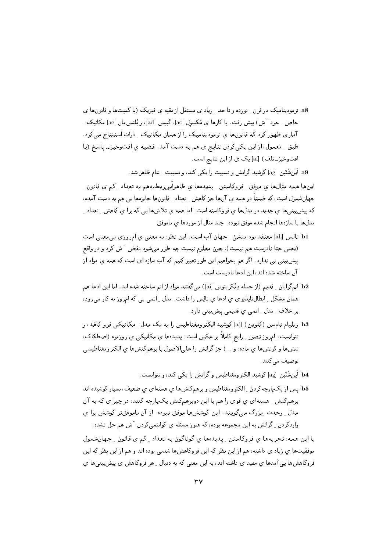a8- ترمودینامیک در قرن <sub>به ن</sub>ورده و تا حد <sub>به</sub> زیاد ی مستقل از یقیه ی فیزیک (یا کمیتها و قانونها ی خاص ِ خود َ ش) پیش رفت. با کارها ی مَکسول [ac]، گیبس [ad]، و بُلتس مان [ae] مکانیک ِ آماری ظهور کرد که قانونها ی ترمودینامیک را از همان مکانیک ِ ِ درات استنتاج می کرد. طبق \_ معمول، از اين يكي كردن نتايج ي هم به دست آمد. قضيه ي افتوخيز\_پاسخ (يا افتوخیز۔تلف) [af] یک ی از این نتایج است.

a9 أين شْتَين [ag] كوشيد گرانش و نسبيت را يكي كند، و نسبيت ِ عام ظاهر شد.

اینها همه مثالها ی موفق ِ فروکاستن ِ پدیدها ی ظاهراَبی ربطبههم به تعداد ِ کم ی قانون ِ جهانشمول است، که ضمناً در همه ي آنها جز کاهش ِ تعداد ِ قانونها جايزهها يي هم به دست آمده، که پیشبینیها ی جدید در مدلها ی فروکاسته است. اما همه ی تلاشها یی که برا ی کاهش ِ تعداد ِ مدلها يا سازهها انجام شده موفق نبوده. چند مثال از موردها ي ناموفق:

- b1 تالِس [ah] معتقد بود منشئ ِ جهان آب است. این نظر، به معنی ی امروزی بی معنی است (یعنی حتا نادرست هم نیست)، چون معلوم نیست چه طور میشود نقض آش کرد و در واقع پیشبینی یی ندارد . اگر هم بخواهیم این طور تعبیر کنیم که آب سازه ای است که همه ی مواد از آن ساخته شده اند، این ادعا نادرست است.
- b2 |تمگرایان \_ قدیم (از جمله دِمُکریتوس [ai]) میگفتند مواد از اتم ساخته شده اند. اما این ادعا هم همان مشکل ِ ابطال ناپذیری ی ادعا ی تالِس را داشت. مدل ِ اتمی یی که امروز به کار می رود، بر خلاف ِ مدل ِ اتمی ی قدیمی پیشبینی دارد.
- b3 ویلیام تامسِن (کِلوین) [aj] کوشید الکترومغناطیس را به یک مدل ِ مکانیکی فرو کاهَد، و نتوانست. ام٫وز تصور ِ ِ رایج کاملاً بر عکس است: پدیدهها ی مکانیکی ی روزمره (اصطکاک، تنشها و کرنشها ی ماده، و ...) جز گرانش را علیالاصول با برهمکنشها ی الکترومغناطیسی توصيف مے كنند.
	- b4 أين شْتَين [ag] كوشيد الكترومغناطيس و گرانش را يكي كند، و نتوانست.
- b5 یس از یک پارچهکردن <sub>-</sub> الکترومغناطیس و برهمکنشها ی هستهای ی ضعیف، بسیار کوشیده اند برهمکنش ِ هستهای ی قوی را هم با این دوبرهمکنش یکپارچه کنند، در چیز ی که به آن مدل ِ وحدت ِ بِزرگ میگویند. این کوششها موفق نبوده. از آن ناموفقتر کوشش برا ی واردکردن \_ گرانش به اين مجموعه بوده، که هنوز مسئله ي کوانتمي کردن َ ش هم حل نشده .

با این همه، تجربهها ی فروکاستن ِ پدیدهها ی گوناگون به تعداد ِ کم ی قانون ِ جهانشمول موفقیتها ی زیاد ی داشته، هم از این نظر که این فروکاهشها شدنی بوده اند و هم از این نظر که این فروکاهشها پی آمدها ی مفید ی داشته اند، به این معنی که به دنبال ِ هر فروکاهش ی پیشبینیها ی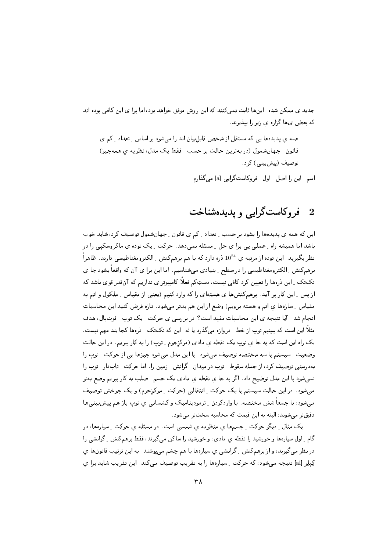جدید ی ممکن شده. اینها ثابت نمی کنند که این روش موفق خواهد بود، اما برا ی این کافی بوده اند که بعض ی ها گزاره ی زیر را پیدیرند.

همه ی پدیدها یی که مستقل از شخص قابل بیان اند را می شود بر اساس ِ تعداد ِ کم ی قانون \_ جهانشمول (در بهترين حالت بر حسب \_ فقط يک مدل، نظريه ي همهچيز) توصیف (پیش بینی) کرد.

اسم ۔ این را اصل ۔ اول ۔ فروکاست گرایبی [a] میں گذارم.

# 2 فروکاستگرایی و پدیدهشناخت

این که همه ی پدیدهها را بشود بر حسب ِ تعداد \_ کم ی قانون \_ جهانشمول توصیف کرد، شاید خوب باشد اما همیشه راه ـ عملی یی برا ی حل ـ مسئله نمی دهد. حرکت ـ یک توده ی ماکروسکیی را در نظر بگیرید. این توده از مرتبه ی  $10^{24}$  دره دارد که با هم برهمکنش ِ الکترومغناطیسی دارند. ظاهراً برهمکنش ِ الکترومغناطیسی را در سطح ِ بنیادی میشناسیم. اما این برا ی آن که واقعاً بشود جا ی تکتک ِ این درهها را تعیین کرد کافی نیست، دستِکم فعلاً کامپیوتر ی نداریم که آنقدر قوی باشد که از پس ِ این کار بر آید. برهمکنشها ی هستهای را که وارد کنیم (یعنی از مقیاس ِ ملکول و اتم به مقیاس ِ سازهها ی اتم و هسته برویم) وضع از این هم بدتر میشود. تازه فرض کنید این محاسبات انجام شد. آیا نتیجه ی این محاسبات مفید است؟ در بررسی ی حرکت ِ یک توپ ِ فوتبال، هدف مثلاً این است که ببینیم توپ از خط <sub>-</sub> دروازه میگذرد یا نَه. این که تکتک <sub>-</sub> ذرهها کجا یند مهم نیست. یک راه این است که به جا ی توپ یک نقطه ی مادی (مرکزجرم ِ توپ) را به کار ببریم. در این حالت وضعیت ِ ِ سیستم با سه مختصه توصیف می شود . با این مدل می شود چیزها یی از حرکت ِ توپ را بهدرستی توصیف کرد، از جمله سقوط ِ ِ توپ در میدان ِ ِ گرانش ِ ِ زمین را. اما حرکت ِ ِ تابدار ِ ِ توپ را نمی شود با این مدل توضیح داد . اگر به جا ی نقطه ی مادی یک جسم ِ صلب به کار ببریم وضع بهتر میشود. در این حالت سیستم با یک حرکت ِ انتقالی (حرکت ِ مرکزجرم) و یک چرخش توصیف میشود، با جمعاً شش مختصه. با واردکردن ِ ترمودینامیک و کشسانی ی توپ باز هم پیش بینیها دقیقتر می شوند، البته به این قیمت که محاسبه سختتر می شود.

یک مثال ِ دیگر حرکت ِ جسمها ی منظومه ی شمسی است. در مسئله ی حرکت ِ سیارهها، در گام \_ اول سیارهها و خورشید را نقطه ی مادی، و خورشید را ساکن می گیرند، فقط برهم کنش \_ گرانشی را در نظر میگیرند، و از برهمکنش <sub>-</sub> گرانشی ی سیارهها با هم چشم می پوشند. به این ترتیب قانونها ی کِیلِر [al] نتیجه می شود، که حرکت ِ سیارهها را به تقریب توصیف می کند. این تقریب شاید برا ی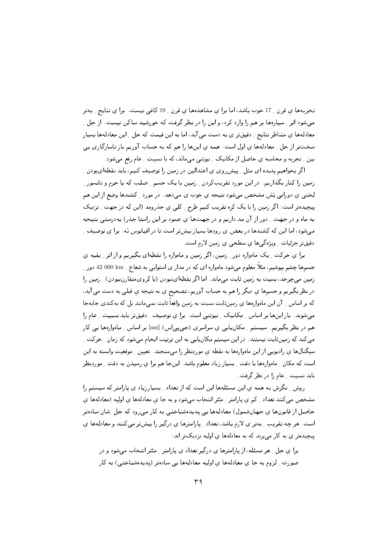تجربهها ی قرن 17 خوب باشد، اما برا ی مشاهدهها ی قرن 19 کافی نیست. برا ی نتایج ـ بهتر مے شود اثر 5 سیارہھا ہر ھم را وارد کرد، و اپن را در نظر گرفت که خورشید ساکن نیست. از حل 5 معادلهها ی متناظر نتایج ِ دقیقتر ی به دست می آید، اما به این قیمت که حل ِ این معادلهها بسیار سختتر از حل \_ معادلهها ي اول است. همه ي اينها را هم كه به حساب آوريم باز ناسازگاري يي بین \_ تجربه و محاسبه ی حاصل از مکانیک \_ نیوتنی می مانَد، که با نسبیت \_ عام رفع می شود.

اگر بخواهیم پدیده ای مثل ِ پیشرروی ی اعتدالین در زمین را توصیف کنیم، باید نقطهایبودن ِ زمین را کنار بگذاریم. در این مورد تقریبکردن \_ زمین با یک جسم \_ صلب که با جرم و تانسور \_ لختبي ي دورانبي پَش مشخص مي شود نتيجه ي خوب ي مي دهد. در مورد \_ کشندها وضع از اين هم پیچیدهتر است: اگر زمین را با یک کره تقریب کنیم طرح ِ کلبی ی جذرومد (این که در جهت ِ نزدیک به ماه و در جهت <sub>-</sub> دور از آن مد داریم و در جهتها ی عمود بر این راستا جذر) بهدرستی نتیجه میشود، اما این که کشندها در بعض ی رودها بسیار بیشتر است تا در اقیانوس نَه . برا ی توصیف ِ دقیقتر جزئیات ِ ویژهگیها ی سطحی ی زمین لازم است.

برا ي حرکت \_ يک ماهواره دور \_ زمين، اگر زمين و ماهواره را نقطهاي بگيريم و از اثر \_ بقيه ي جسمها چشم بپوشیم، مثلاً معلوم میشود ماهواره ای که در مدار ی استوایی به شعاع \_ 000 km دور \_ زمین میچرخد، نسبت به زمین ثابت میماند. اما اگر نقطهاینبودن (یا کرویمتقارننبودن) \_ زمین را در نظربگیریم و جسمها ي ديگر را هم به حساب آوريم، تصحيح ي به نتيجه ي قبلي به دست مي آيد، که بر اساس 15ن این ماهوارهها ی زمینثابت نسبت به زمین واقعاً ثابت نمی،مانند بل که بهکندی جابهجا می شوند. باز اینها بر اساس ِ مکانیک ِ نیوتنی است. برا ی توصیف ِ دقیقتر باید نسبیت ِ عام را هم در نظر بگیریم. سیستم ِ مکان یابی ی سراسری (جی پی[س) [am] بر اساس ِ ماهوارهها یی کار میکند که زمینثابت نیستند. در این سیستم مکان یابی به این ترتیب انجام میشود که زمان \_ حرکت \_ سیگنالها ی رادیویی از این ماهوارهها به نقطه ی موردِنظر را میسنجند. تعیین ِ موقعیت وابسته به این است كه مكان \_ ماهوارهها با دقت \_ بسيار زياد معلوم باشد. اينجا هم برا ي رسيدن به دقت \_ موردِنظر باید نسبیت ِ عام را در نظر گرفت.

روش ِ نگرش به همه ی این مسئلهها این است که از تعداد ِ بسیارزیاد ی پارامتر که سیستم را مشخص میکنند تعداد که ی پارامتر ـ مئثر انتخاب میشود و به جا ی معادلهها ی اولیه (معادلهها ی حاصل از قانونها ی جهانشمول) معادلهها یی پدیدهشناختی به کار میرود که حل شان سادهتر است. هر چه تقریب ِ بهتر ی لازم باشد، تعداد ِ پارامترها ی درگیر را بیشتر می کنند و معادلهها ی پیچیدهتر ی به کار می برند که به معادلهها ی اولیه نزدیکتر اند:

برا ی حل ِ هر مسئله، از پارامترها ی درگیر تعداد ی پارامتر ِ مئثر انتخاب میشود و در صورت ِ لزوم به جا ی معادلهها ی اولیه معادلهها یی سادهتر (پدیدهشناختی) به کار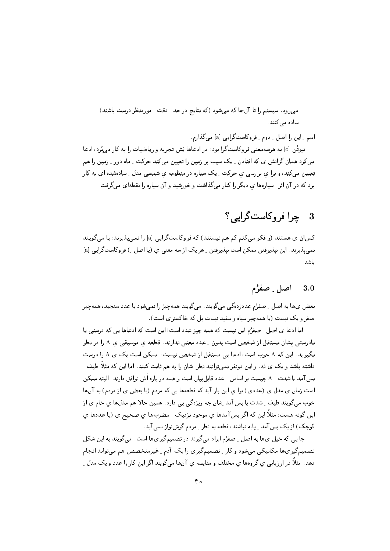می رود. سیستم را تا آنجا که می شود (که نتایج در حد ِ دقت ِ موردِنظر درست باشند) سادہ مے کنند.

اسم ۔ اپن را اصل ۔ دوم ۔ فروکاست گرایبی [a] می گذارم. نیوتُن [0] به هرسهمعنی فروکاستگرا بود: در ادعاها پَش تجربه و ریاضیات را به کار می پُرد، ادعا می کرد همان گرانش ی که افتادن <sub>به</sub> یک سیب بر زمین را تعیین می کند حرکت <sub>به</sub> ماه دور <sub>بر</sub>زمین را هم تعیین می کند، و برا ی بررسی ی حرکت ِ یک سیاره در منظومه ی شمسی مدل ِ سادهشده ای به کار برد که در آن اثر ِ سیارهها ی دیگر را کنار میگذاشت و خورشید و آن سیاره را نقطهای میگرفت.

## چرا فروكاست گرايه ؟ 3

کسان ی هستند (و فکر میکنم کم هم نیستند) که فروکاستگرایی [a] را نمی پذیرند، یا میگویند نمی پذیرند. این نیذیرفتن ممکن است نیذیرفتن ِ هر یک از سه معنی ی (یا اصل ِ ) فروکاستگرایی [a] ىاشد.

#### اصل ۔ صفرُم 3.0

بعض ي ها به اصل \_ صفرُم عددزده گي مي گويند . مي گويند همهچيز را نمي شود با عدد سنجيد، همهچيز صفر و یک نیست (یا همهچیز سیاه و سفید نیست بل که خاکستری است).

اما ادعا ي اصل \_ صفرُم اين نيست كه همه چيز عدد است؛ اين است كه ادعاها يي كه درستي يا نادرستبی پشان مستقل از شخص است بدون <sub>-</sub> عدد معنبی ندارند. قطعه ی موسیقبی ی A را در نظر بگیرید. این که A خوب است، ادعا یی مستقل از شخص نیست: ممکن است یک ی A را دوست داشته باشد و یک ی نَه . و این دونفر نمیتوانند نظر ِشان را به هم ثابت کنند. اما این که مثلاً طیف ِ بس آمد یا شدت <sub>ـ</sub> A چیست بر اساس <sub>-</sub> عدد قابل بیان است و همه در باره اَش توافق دارند. البته ممکن است زمان ی مدل ی (عددی) برا ی این بار آید که قطعهها یی که مردم (یا بعض ی از مردم) به آنها خوب میگویند طیف ِ شدت یا بسآمد ِ شان چه ویژهگی یی دارد. همین حالا هم مدلها ی خام ی از این گونه هست، مثلاً این که اگر بس آمدها ی موجود نزدیک ِ مضربها ی صحیح ی (با عددها ی کوچک) از یک بس آمد \_ پایه نباشند، قطعه به نظر \_ مردم گوشنواز نمي آيد.

جا یی که خپل یها به اصل ِ صفرُم ایراد می گیرند در تصمیمگیر یها است. می گویند به این شکل تصمیمگیریها مکانیکی میشود و کار ِ تصمیمگیری را یک آدم ِ غیرمتخصص هم میتواند انجام دهد. مثلاً در ارزیابی ی گروهها ی مختلف و مقایسه ی آنها میگویند اگر این کار با عدد و یک مدل ِ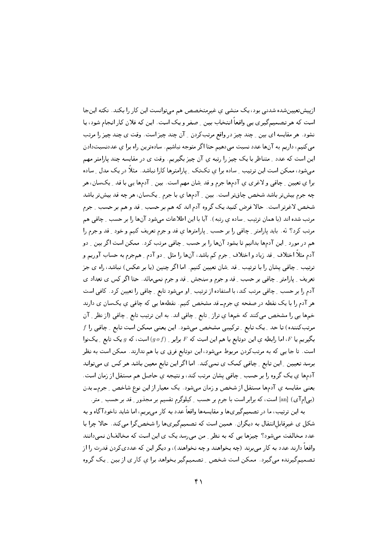ازیپشتعیینشده شدنی بود، یک منشی ی غیرمتخصص هم میتوانست این کار را بکند. نکته اینجا است که هر تصمیمگیری یی واقعاً انتخاب بین ِ صفر و یک است. این که فلان کار انجام شود، یا نشود. هر مقایسه ای بین \_ چند چیز در واقع مرتبکردن \_ آن چند چیز است. وقت ی چند چیز را مرتب میکنیم، داریم به آنها عدد نسبت میدهیم حتا اگر متوجه نباشیم. سادهترین راه برا ی عددنسبتدادن این است که عدد <sub>-</sub> متناظر با یک چیز را رتبه ی آن چیز بگیریم. وقت ی در مقایسه چند پارامتر مهم میشود، ممکن است این ترتیب ِ ساده برا ی تکتک ِ پارامترها کارا نباشد. مثلاً در یک مدل ِ ساده برا ي تعيين \_ چاقي و لاغري ي آدمها جرم و قد شان مهم است. بين \_ آدمها يي با قد \_ يکسان، هر چه جرم بیش تر باشد شخص چاق تر است. بین ۱ آدمها ی با جرم ۱ یکسان، هر چه قد بیش تر باشد شخص لاغرتر است. حالا فرض کنید یک گروه آدم اند که هم بر حسب ِ قد و هم بر حسب ِ جرم مرتب شده اند (با همان ترتیب ِ ساده ی رتبه). آیا با این اطلاعات می شود آنها را بر حسب ِ چاقی هم مرتب کرد؟ نَه. باید یارامتر ِ چاقی را بر حسب ِ پارامترها ی قد و جرم تعریف کنیم و خود ِ قد و جرم را هم در مورد ِ این آدمها بدانیم تا بشود آنها را بر حسب ِ چاقی مرتب کرد. ممکن است اگر بین ِ دو آدم مثلاً اختلاف ِ قد زياد و اختلاف ِ جرم كم باشد، آنها را مثل ِ دو آدم ِ همجرم به حساب آوريم و ترتیب ِ چاقی یشان را با ترتیب ِ قد ِشان تعیین کنیم. اما اگرچنین (یا بر عکس) نباشد، راه ی جز تعریف ِ پارامتر ِ چاقبی بر حسب ِ قد و جرم و سنجش ِ قد و جرم نمیِمانَد. حتا اگر کس ی تعداد ی آدم را بر حسب ِ چاقبی مرتب کند، با استفاده از ترتیب ِ او میشود تابع ِ چاقبی را تعیین کرد. کافی است هر آدم را با یک نقطه در صفحه ی جرمــ قد مشخص کنیم. نقطهها یی که چاقی ی یکسان ی دارند خمها يي را مشخص مي كنند كه خمها ي تراز ٍ تابع ٍ چاقي اند. به اين ترتيب تابع ٍ حِاقي (از نظر \_ آن  $f$  مرتبکننده) تا حد ِ یک تابع ِ ترکیبی مشخص میشود. این یعنی ممکن است تابع ِ چاقی را بگیریم یا  $F$ ، اما رابطه یِ این دوتابع با هم این است که  $F$  برابر ِ  $(g\, \sigma f)$  است، که  $g$  یک تابع ِ یکنوا است. تا جا یی که به مرتبکردن مربوط میشود، این دوتابع فرق ی با هم ندارند. ممکن است به نظر برسد تعیین ِ این تابع ِ چاقی کمک ی نمی کند. اما اگر این تابع معین باشد هر کس ی می تواند آدمها ی یک گروه را بر حسب ِ چاقی پشان مرتب کند، و نتیجه ی حاصل هم مستقل از زمان است. یعنبی مقایسه ی آدمها مستقل از شخص و زمان میشود. یک معیار از این نوع شاخص ِ جرم۔ بدن (بی اِم آی) [an] است، که برابر است با جرم بر حسب ِ کیلوگرم تقسیم بر مجذور ِ قد بر حسب ِ متر.

به این ترتیب، ما در تصمیمگیریها و مقایسهها واقعاً عدد به کار میبریم، اما شاید ناخودآگاه و به شکل ی غیرقابلانتقال به دیگران. همین است که تصمیمگیریها را شخصگرا میکند. حالا چرا با عدد مخالفت می شود؟ چیزها یی که به نظر \_ من می رسد یک ی این است که مخالفان نمی دانند واقعاً دارند عدد به کار میبرند (چه بخواهند و چه نخواهند)، و دیگر این که عددیکردن قدرت را از تصمیمگیرنده می گیرد . ممکن است شخص ِ تصمیمگیر بخواهد برا ی کار ی از بین ِ یک گروه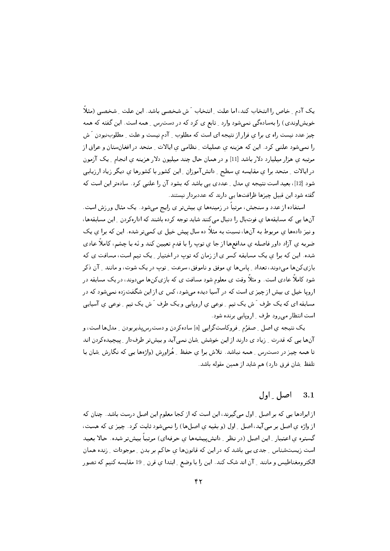یک آدم ِ خاص را انتخاب کند، اما علت ِ انتخاب َ ش شخصی باشد. این علت ِ شخصی (مثلاً خویش|وندی) را بهسادهگی نمیشود وارد \_ تابع ی کرد که در دست رس \_ همه است . این گفته که همه چیز عدد نیست راه ی برا ی فرار از نتیجه ای است که مطلوب ۱ آدم نیست و علت ۱ مطلوبنبودن آش را نمیشود علنی کرد. این که هزینه ی عملیات ِ نظامی ی ایالات ِ متحد در افغانستان و عراق از مرتبه ی هزار میلیارد دلار باشد [11] و در همان حال چند میلیون دلار هزینه ی انجام ِ یک آزمون در ايالات ِ متحد برا يِ مقايسه يِ سطح ِ دانشآموزان ِ اين كشور با كشورها ي ديگر زياد ارزيابي شود [12]، بعید است نتیجه ی مدل ِ عددی یی باشد که بشود آن را علنی کرد. سادهتر این است که گفته شود این قبیل چیزها ظرافتها یی دارند که عددبردار نیستند.

استفاده از عدد و سنجش، مرتباً در زمینهها ی بیشتر ی رایج میشود. یک مثال ورزش است. آنها یی که مسابقهها ی فوتبال را دنبال میکنند شاید توجه کرده باشند که ادارهکردن ِ این مسابقهها، و نیز دادهها ی مربوط به آنها، نسبت به مثلاً ده سال پیش خیل ی کمیتر شده. این که برا ی یک ضربه ي آزاد داور فاصله ي مدافعها از جا ي توپ را با قدم تعيين كند و نَه با چشم، كاملاً عادي شده. این که برا ی یک مسابقه کسر ی از زمان که توپ در اختیار ِ یک تیم است، مسافت ی که بازي كنها مىدوند، تعداد \_ پاسها ي موفق و ناموفق، سرعت \_ توپ در يك شوت، و مانند \_ آن ذكر شود کاملاً عادی است. و مثلاً وقت ی معلوم شود مسافت ی که بازیکن(ها میدوند، در یک مسابقه در اروپا خیل ی بیش از چیز ی است که در آسیا دیده می شود، کس ی از این شگفتزده نمی شود که در مسابقه ای که یک طرف َ ش یک تیم ِ نوعی ی اروپایی و یک طرف َ ش یک تیم ِ نوعی ی آسیایی است انتظار می رود طرف ِ اروپایی برنده شود.

يک نتيجه ي اصل \_ صفرُم \_ فروکاستگرايي [a] سادهکردن و دسترسپذيربودن \_ مدلها است، و آنها یی که قدرت ِ زیاد ی دارند از این خوشش ِشان نمی آید و بیشتر طرفدار ِ پیچیدهکردن اند تا همه چیز در دست رس ِ همه نباشد. تلاش برا ی حفظ ِ هُزاورش (واژهها یبی که نگارش ِ شان با تلفظ ِ شان فرق دارد) هم شايد از همين مقوله باشد.

#### اصل اول  $3.1$

از ایرادها یے, که بر اصل ِ اول می گیرند، این است که از کجا معلوم این اصل درست باشد. چنان که از واژه ی اصل بر می آید، اصل ِ اول (و بقیه ی اصلها) را نمیشود ثابت کرد. چیز ی که هست، گستره ی اعتبار <sub>-</sub> این اصل (در نظر <sub>-</sub> دانشپیشهها ی حرفهای) مرتباً بیشتر شده. حالا بعید است زیستشناس ِ جدی یی باشد که در این که قانونها ی حاکم بر بدن ِ موجودات ِ زنده همان الكترومغناطيس و مانند \_ آن اند شک کند. اين را با وضع \_ ابتدا ي قرن \_ 19 مقايسه کنيم که تصور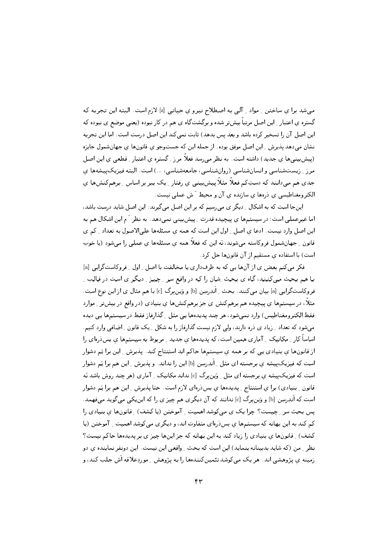مبیشد برا ی ساختن ِ مواد ِ آلبی به اصطلاح نیرو ی حیاتبی [z] لازم است. البته این تجربه که گستره ی اعتبار <sub>-</sub> این اصل مرتباً بیشتر شده و برگشتگاه ی هم در کار نبوده (یعنی موضع ی نبوده که این اصل آن را تسخیر کرده باشد و بعد پس بدهد) ثابت نمی کند این اصل درست است. اما این تجربه نشان میدهد پذیرش ِ این اصل موفق بوده. از جمله این که جستوجو ی قانونها ی جهانشمول جایزه (پیشبینی ها ی جدید) داشته است. به نظر می رسد فعلاً مرز <sub>-</sub> گستره ی اعتبار <sub>-</sub> قطعی ی این اصل مرز ِ زیستشناسی و انسانشناسی (روانشناسی، جامعهشناسی، ...) است. البته فیزیک پیشهها ی جدی هم می،دانند که دستِکم فعلاً مثلاً پیش بینی ی رفتار پیک ببر بر اساس پرهمکنشها ی الكترومغناطيسي ي دروها ي سازنده ي آن و محيط آش عملي نيست.

اینجا است که به اشکال ِ دیگر ی می٫سیم که بر این اصل می گیرند: این اصل شاید درست باشد، اما غیرعملی است؛ در سیستمها ی پیچیده قدرت ِ پیش بینی نمی دهد. به نظر آم این اشکال هم به این اصل وارد نیست. ادعا ی اصل ِ اول این است که همه ی مسئلهها علیالاصول به تعداد ِ کم ی قانون ِ جهانشمول فروکاسته می،شوند، نَه این که فعلاً همه ی مسئلهها ی عملی را می،شود (یا خوب است) با استفاده ی مستقیم از آن قانونها حل کرد.

فکر میکنم بعض ی از آنها یی که به طرفداری یا مخالفت با اصل ِ اول ِ فروکاستگرایی [a] بـا هـم بـحث مـىكـنـنـد، گـاه ي بـحث ِشان را كـه در واقـع سـر \_ چيـز \_ ديـگـر ي است در قـالـب \_ فروكاستگرايبي [a] بيان ميكنند. بحث ِ اَندِرِسِنِ [b] و وَين برگ [c] با هم مثال ي از اين نوع است. مثلاً، در سیستمها ی پیچیده هم برهمکنش ی جز برهمکنشها ی بنیادی (در واقع در بیش تر \_ موارد فقط الکترومغناطیس) وارد نمیشود، هر چند پدیدهها یی مثل ِ گذارفاز فقط در سیستمها یی دیده میشود که تعداد ِ زیاد ی ذره دارند، ولی لازم نیست گذارفاز را به شکل ِ یک قانون ِ اضافی وارد کنیم. اساساً کار ِ مکانیک ِ آماری همین است، که پدیدهها ی جدید ِ مربوط به سیستمها ی بس(رهای را از قانونها ی بنیادی یی که بر همه ی سیستمها حاکم اند استنتاج کند. پذیرش ِ این برا یَم دشوار است که فیزیکپیشه ی برجسته ای مثل <sub>-</sub> اَندِرسِن [b] این را نداند. و یذیرش <sub>-</sub> این هم برا یَم دشوار است که فیزیک پیشه ی برجسته ای مثل <sub>-</sub> وَین برگ [c] نداند مکانیک <sub>-</sub> آماری (هر چند روش باشد نَه قانون ِ بنیادی) برا ی استنتاج ِ پدیدهها ی بس(رهای لازم است. حتا پذیرش ِ این هم برا یَم دشوار است که اَندِرسِن [b] و وَین برگ [c] ندانند که آن دیگری هم چیز ی را که این یکی میگوید میفهمد. پس بحث سر ِ چیست؟ چرا یک ی میکوشد اهمیت ِ آموختن (یا کشف) ِ قانونها ی بنیادی را کم کند به این بهانه که سیستمها ی بس ذرهای متفاوت اند، و دیگری میکوشد اهمیت \_ آموختن (یا کشف) ِ قانونها ی بنیادی را زیاد کند به این بهانه که جز اینها چیز ی بر پدیدهها حاکم نیست؟ نظر ِ من (که شاید بدبینانه بنماید) این است که بحث ِ واقعی این نیست. این دونفر نماینده ی دو زمینه ی پژوهشی اند. هر یک می کوشد تئمین کنندهها را به پژوهش - موردِعلاقه اَش جلب کند، و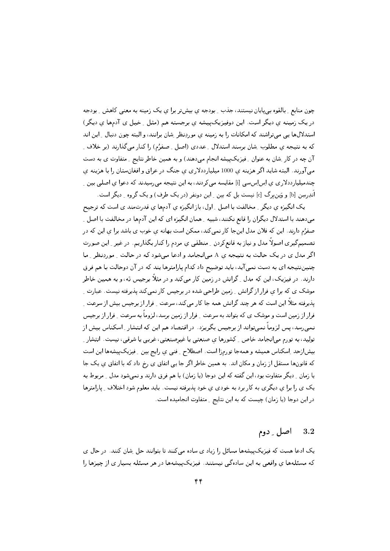چون منابع ِ بالقوه بی پایان نیستند، جذب ِ بودجه ی بیشتر برا ی یک زمینه به معنی کاهش ِ بودجه در یک زمینه ی دیگر است. این دوفیزیک پیشه ی برجسته هم (مثل ِ خیل ی آدمها ی دیگر) استدلالها یی میتراشند که امکانات را به زمینه ی موردِنظر شان برانند، و البته چون دنبال ِ این اند که به نتیجه ی مطلوب ِشان برسند استدلال ِ عددی (اصل ِ صفرُم) را کنار میگذارند (بر خلاف ِ آن چه در کار ِشان به عنوان ِ فیزیکپیشه انجام میدهند) و به همین خاطر نتایج ِ متفاوت ی به دست می آورند. البته شاید اگر هزینه ی 1000 میلیارددلاری ی جنگ در عراق و افغانستان را با هزینه ی چندمیلپارددلاری ی اِس اِس سی [i] مقایسه می کردند، به این نتیجه می رسیدند که دعوا ی اصلی بین ِ اًندرسن [b] و وَين برگ [c] نيست بل كه بين \_ اين دونفر (در يک طرف) و يک گروه \_ ديگر است.

یک انگیزه ی دیگر <sub>-</sub> مخالفت با اصل <sub>-</sub> اول، باز انگیزه ی آدمها ی قدرتمند ی است که ترجیح می دهند با استدلال دیگران را قانع نکنند، شبیه \_ همان انگیزه ای که این آدمها در مخالفت با اصل \_ صفرُم دارند. این که فلان مدل اینجا کار نمیکند، ممکن است بهانه ی خوب ی باشد برا ی این که در تصمیمگیری اصولاً مدل و نیاز به قانعکردن <sub>-</sub> منطقی یِ مردم را کنار بگذاریم. در غیر <sub>-</sub> این صورت اگر مدل ی در یک حالت به نتیجه ی A می انجامد و ادعا میشود که در حالت <sub>-</sub> موردِنظر <sub>-</sub> ما چنیننتیجه ای به دست نمی آید، باید توضیح داد کدام پارامترها پند که در آن دوحالت با هم فرق دارند. در فیزیک، این که مدل <sub>-</sub> گرانش در زمین کار میکند و در مثلاً برجیس نَه، و به همین خاطر موشک ی که برا ی فرار از گرانش ِ زمین طراحی شده در برجیس کار نمیکند پذیرفته نیست. عبارت ِ یذیرفته مثلاً این است که هر چند گرانش همه جا کار می کند، سرعت \_ فرار از برجیس بیش از سرعت \_ فرار از زمین است و موشک ی که بتواند به سرعت ِ فرار از زمین برسد، لزوماً به سرعت ِ فرار از برجیس نمی٫رسد، یس لزوماً نمیتواند از برجیس بگریزد . در اقتصاد هم این که انتشار ِ اسکناس بیش از تولید، به تورم میانجامد خاص ِ کشورها ی صنعتی یا غیرصنعتی، غربی یا شرقی، نیست. انتشار ِ بیش|زحد اِسکناس همیشه و همهجا تورمزا است. اصطلاح ِ فنی ی رایج بین ِ فیزیکپیشهها این است که قانونها مستقل از زمان و مکان اند. به همین خاطر اگر جا یی اتفاق ی رخ داد که با اتفاق ی یک جا یا زمان ِ دیگر متفاوت بود، این گفته که این دوجا (یا زمان) با هم فرق دارند و نمی شود مدل ِ مربوط به یک ی را برا ی دیگری به کار برد به خودی ی خود پذیرفته نیست. باید معلوم شود اختلاف ِ پارامترها در این دوجا (یا زمان) چیست که به این نتایج ِ متفاوت انجامیده است.

#### اصل ۔ دوم  $3.2$

یک ادعا هست که فیزیک پیشهها مسائل را زیاد ی ساده می کنند تا بتوانند حل ِ شان کنند. در حال ی که مسئلهها ی واقعی به این سادهگی نیستند. فیزیک پیشهها در هر مسئله بسیار ی از چیزها را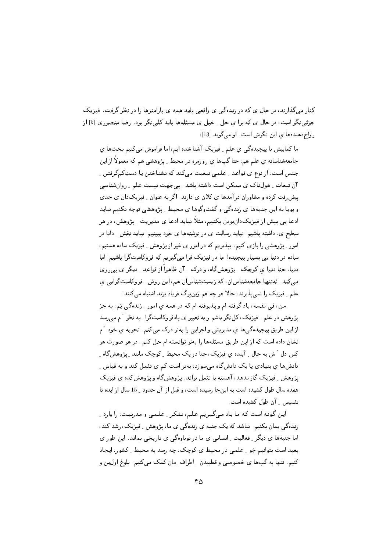کنار میگذارند، در حال ی که در زندهگی ی واقعی باید همه ی پارامترها را در نظر گرفت. فیزیک جزئی نگر است، در حال ی که برا ی حل ِ خیل ی مسئلهها باید کلی نگر بود. رضا منصوری [k] از رواج دهندهها ي اين نگرش است. او مي گويد [13]:

ما کمابیش با پیچیدهگی ی علم ِ فیزیک آشنا شده ایم، اما فراموش میکنیم بحثها ی جامعهشناسانه ی علم هم، حتا گپها ی روزمره در محیط پیژوهشی هم که معمولاً از این جنس است، از نوع ی قواعد \_ علمی تبعیت میکند که نشناختن یا دستِکمگرفتن \_ آن تبعات ِ هولناک ی ممکن است داشته باشد. بی جهت نیست علم ِ روانشناسی پیش رفت کرده و مشاوران درآمدها ی کلان ی دارند. اگر به عنوان ِ فیزیکدان ی جدی و پویا به این جنبهها ی زندهگی و گفتوگوها ی محیط ِ پژوهشی توجه نکنیم نباید ادعا یپی بیش از فیزیکدانبودن بکنیم، مثلاً نباید ادعا ی مدیریت \_ پژوهش، در هر سطح ی، داشته باشیم؛ نباید رسالت ی در نوشتهها یِ خود ببینیم؛ نباید نقش ِ دانا در امور ِ پژوهشی را بازی کنیم. بپذیریم که در امور ی غیر از پژوهش ِ فیزیک ساده هستیم، ساده در دنیا یی بسیار پیچیده! ما در فیزیک فرا میگیریم که فروکاستگرا باشیم؛ اما دنیا، حتا دنیا ی کوچک ِ پژوهشگاه، و درک ِ آن ظاهراً از قواعد ِ دیگر ی پی روی می کند. نَهتنها جامعهشناسان، که زیستشناسان هم، این روش ِ فروکاستگرایی ی علم ِ فیزیک را نمی پذیرند، حالا هر چه هم وَین برگ فریاد بزند اشتباه می کنند!

من، فبي نفسه، ياد گرفته ام و يذيرفته ام كه در همه ي امور \_ زندهگي يَم، به جز پژوهش در علم ِ فیزیک، کل،گر باشم و به تعبیر ی پادفروکاستگرا. به نظر َ م می رسد از این طریق پیچیدهگیها ی مدیریتی و اجرایی را بهتر درک میکنم. تجربه ی خود َ م نشان داده است که از این طریق مسئلهها را بهتر توانسته ام حل کنم. در هر صورت هر کس دل َ ش به حال ِ آینده ی فیزیک، حتا در یک محیط ِ کوچک مانند ِ پژوهشگاه ِ دانش ها ی بنیادی یا یک دانش گاه می سوزد، بهتر است کم ی تئمل کند و به قیاس پژوهش ِ فیزیک گاز ندهد، آهسته با تئمل براند. پژوهشگاه ویژوهشکده ی فیزیک هفده سال طول کشیده است به اینجا رسیده است، و قبل از آن حدود 15 سال از ایده تا تئسیس ِ آن طول کشیده است.

این گونه است که ما یاد میگیریم علم، تفکر ِ علمی و مدرنیت، را وارد ِ زندهگی یمان بکنیم. نباشد که یک جنبه ی زندهگی ی ما، پژوهش ِ فیزیک، رشد کند، اما جنبهها ی دیگر ِ فعالیت ِ انسانی ی ما در نوباوهگی ی تاریخی بماند. این طور ی بعید است بتوانیم جَو ِ علمی در محیط ی کوچک، چه رسد به محیط ِ کشور، ایجاد کنیم. تنها به گیها ی خصوصی و قطبیدن ِ اطراف ِمان کمک میکنیم. بلوغ اول ین و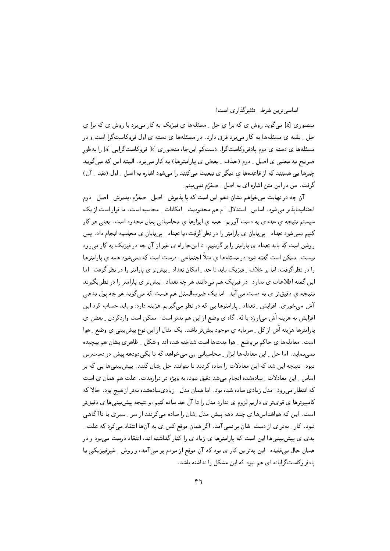اساسی ترین شرط \_ تئثیر گذاری است!

منصوری [k] می گوید روش ی که برا ی حل به مسئلهها ی فیزیک به کار می برد یا روش ی که برا ی حل \_ بقیه ی مسئلهها به کار می برد فرق دارد. در مسئلهها ی دسته ی اول فروکاستگرا است و در مسئلهها ی دسته ی دوم یادفروکاستگرا. دستِکم اینجا، منصوری [k] فروکاستگرایی [a] را بهطور صريح به معنى ي اصل \_ دوم (حذف \_ بعض ي پارامترها) به كار مىبرد. البته اين كه مى گويد چیزها یی هستند که از قاعدهها ی دیگر ی تبعیت میکنند را میشود اشاره به اصل ِ اول (نقد ِ آن) گرفت. من در این متن اشاره ای به اصل \_ صفرُم نمیبینم.

آن چه در نهایت می خواهم نشان دهم این است که با پذیرش ِ اصل ِ صفرُم، پذیرش ِ اصل ِ دوم اجتنابناپذیر می شود. اساس ِ استدلال َ م هم محدودیت ِ امکانات ِ محاسبه است. ما قرار است از یک سیستم نتیجه یِ عددی به دست آوریم. همه ی ابزارها ی محاسباتی یمان محدود است. یعنی هر کار کنیم نمیشود تعداد <sub>-</sub> بی2پایان ی پارامتر را در نظر گرفت، یا تعداد <sub>-</sub> بی2پایان ی محاسبه انجام داد. پس روشن است که باید تعداد ی پارامتر را بر گزینیم. تا اینجا راه ی غیر از آن چه در فیزیک به کار میرود نیست. ممکن است گفته شود در مسئلهها ی مثلاً اجتماعی، درست است که نمی شود همه ی پارامترها را در نظر گرفت، اما بر خلاف ِ فیزیک باید تا حد ِ امکان تعداد ِ بیشتر ی پارامتر را در نظر گرفت. اما این گفته اطلاعات ی ندارد. در فیزیک هم می دانند هر چه تعداد ِ بیش تر ی پارامتر را در نظر بگیرند نتیجه ی دقیقتر ی به دست می آید. اما یک ضربالمثل هم هست که میگوید هر چه پول بدهی آش می خوری . افزایش ِ تعداد ِ پارامترها یبی که در نظر می گیریم هزینه دارد، و باید حساب کرد این افزایش به هزینه اَش می|رزد یا نَه. گاه ی وضع از این هم بدتر است: ممکن است واردکردن ِ بعض ی پارامترها هزينه اَش از كل ِ سرمايه ي موجود بيشتر باشد. يک مثال از اين نوع پيشبينی ي وضع ِ هوا است. معادلهها ي حاكم بر وضع ٍ هوا مدتها است شناخته شده اند و شكل ٍ ظاهري پِشان هم پيچيده نمی نماید. اما حل ِ این معادلهها ابزار ِ محاسباتی یی می خواهد که تا یکی دودهه پیش در دست رس نبود . نتیجه این شد که این معادلات را ساده کردند تا بتوانند حل ِ شان کنند. پیش بینی ها یی که بر اساس ِ این معادلات ِ سادهشده انجام میشد دقیق نبود، به ویژه در درازمدت. علت هم همان ی است که انتظار می رود: مدل زیادی ساده شده بود. اما همان مدل ِ زیادیسادهشده بهتر از هیچ بود. حالا که کامپیوترها ی قویتر ی داریم لزوم ی ندارد مدل را تا آن حد ساده کنیم، و نتیجه پیشبینیها ی دقیقتر است. این که هواشناسها ی چند دهه پیش مدل ِشان را ساده میکردند از سر ِ سیری یا ناآگاهی نبود. کار ِ بهتر ی از دست ِشان بر نمی آمد. اگر همان موقع کس ی به آنها انتقاد میکرد که علت ِ بدی یِ پیش بینیها این است که پارامترها ی زیاد ی را کنار گذاشته اند، انتقاد درست می بود و در همان حال بیفایده. این بهترین کار ی بود که آن موقع از مردم بر می آمد، و روش ِ غیرفیزیکی یا یادفروکاست گرایانه ای هم نبود که این مشکل را نداشته باشد.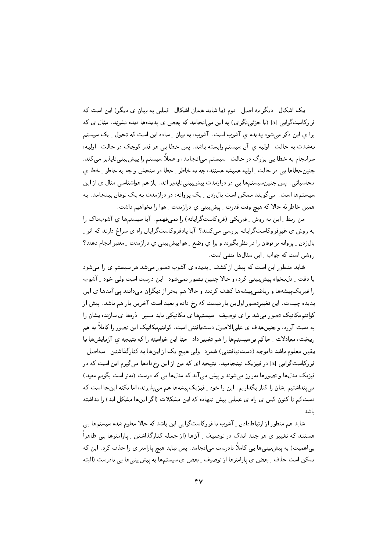یک اشکال ِ دیگر به اصل ِ دوم (یا شاید همان اشکال ِ قبلی به بیان ی دیگر) این است که فروکاستگرایی [a] (یا جزئی نگری) به این می|نجامد که بعض ی پدیدهها دیده نشوند. مثال ی که برا ی این ذکر می شود پدیده ی آشوب است. آشوب، به بیان ۱ ِساده این است که تحول ۱ یک سیستم بهشدت به حالت ِ اولیه ی آن سیستم وابسته باشد. پس خطا یی هر قدر کوچک در حالت ِ اولیه، سرانجام به خطا یی بزرگ در حالت ِ سیستم می|نجامد، و عملاً سیستم را پیش بینی ناپذیر می کند. چنینخطاها یبی در حالت <sub>-</sub> اولیه همیشه هستند، چه به خاطر <sub>-</sub> خطا در سنجش و چه به خاطر <sub>-</sub> خطا ی محاسباتی . پس چنین سیستمها یی در درازمدت پیش بینی نایذیر اند. باز هم هواشناسی مثال ی از این سیستمها است. میگویند ممکن است بالزدن ـ یک پروانه، در درازمدت به یک توفان بینجامد. به همین خاطر نَه حالا که هیچ وقت قدرت ِ پیشبینی ی درازمدت ِ هوا را نخواهیم داشت.

من ربط ِ این به روش ِ فیزیکی (فروکاستگرایانه) را نمی فهمم. آیا سیستمها ی آشوبناک را به روش ی غیرفروکاستگرایانه بررسی میکنند؟ آیا یادفروکاستگرایان راه ی سراغ دارند که اثر ِ بال زدن \_ پروانه بر توفان را در نظر بگیرند و برا ی وضع \_ هوا پیش بینی ی درازمدت \_ معتبر انجام دهند؟ روشن است که جواب 1 این سئال ها منفی است.

شاید منظور این است که پیش از کشف ِ پدیده ی آشوب تصور میشد هر سیستم ی را میشود با دقت ِ دلبخواه پیشبینی کرد، و حالا چنین تصور نمیشود. این درست است ولی خود ِ آشوب را فیزیکپیشهها و ریاضیپیشهها کشف کردند و حالا هم بهتر از دیگران میدانند پی آمدها ی این پدیده چیست. این تغییرتصور اول ین بار نیست که رخ داده و بعید است آخرین بار هم باشد. پیش از کوانتم مکانیک تصور میشد برا ی توصیف ِ سیستمها ی مکانیکی باید مسیر ِ ذرهها ی سازنده یشان را به دست آورد، و چنینهدف ی علیالاصول دستیافتنی است. کوانتممکانیک این تصور را کاملاً به هم ریخت، معادلات ِ حاکم بر سیستمها را هم تغییر داد. حتا این خواسته را که نتیجه ی آزمایشها با يقين معلوم باشد ناموجه (دستنيافتني) شمرد. ولي هيچ يک از اينها به کنارگذاشتن ِ سهاصل ِ فروکاستگرایی [a] در فیزیک نینجامید. نتیجه ای که من از این رخدادها میگیرم این است که در فیزیک مدلها و تصورها بهروز می شوند و پیش می آید که مدلها یی که درست (بهتر است بگویم مفید) می پنداشتیم ِ شان را کنار بگذاریم. این را خود ِ فیزیک پیشهها هم می پذیرند، اما نکته اینجا است که دستِکم تا کنون کس ی راه ی عملی پیش ننهاده که این مشکلات (اگر اینها مشکل اند) را نداشته باشد.

شاید هم منظور از ارتباطدادن \_ آشوب با فروکاستگرایی این باشد که حالا معلوم شده سیستمها یی هستند که تغییر ی هر چند اندک در توصیف ِ آنها (از جمله کنارگذاشتن ِ پارامترها یی ظاهراً بے ٖاهمیت) به پیش بینی ها یی کاملاً نادرست میانجامد. پس نباید هیچ پارامتر ی را حذف کرد. این که ممکن است حذف ِ بعض ی پارامترها از توصیف ِ بعض ی سیستمها به پیش پینیها یی نادرست (البته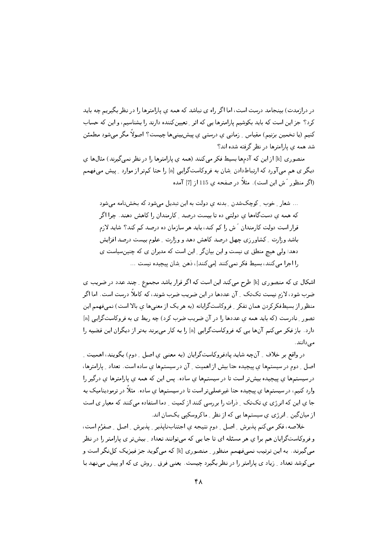در درازمدت) بینجامد درست است، اما اگر راه ی نباشد که همه ی پارامترها را در نظر بگیریم چه باید کرد؟ جز این است که باید بکوشیم پارامترها یی که اثر ِ تعیینکننده دارند را بشناسیم، و این که حساب کنیم (یا تخمین برنیم) مقیاس ِ زمانی ی درستی ی پیش بینیها چیست؟ اصولاً مگر می شود مطمئن شد همه ی پارامترها در نظر گرفته شده اند؟

منصوری [k] از این که آدمها بسیط فکر میکنند (همه ی پارامترها را در نظر نمی گیرند) مثالها ی دیگر ی هم می آورد که ارتباطدادن ِ شان به فروکاستگرایی [a] را حتا کمتر از موارد ِ پیش میفهمم (اگر منظور َ ش این است). مثلاً در صفحه ی 115 از [7] آمده

... شعار ِ خوب ِ کوچکشدن ِ بدنه ی دولت به این تبدیل میشود که بخش نامه می شود که همه ی دستگاهها ی دولتی ده تا بیست درصد <sub>-</sub> کارمندان را کاهش دهند. چرا اگر قرار است دولت کارمندان آش را کم کند، باید هر سازمان ده درصد کم کند؟ شاید لازم باشد وزارت \_ کشاورزي چهل درصد کاهش دهد و وزارت \_ علوم بيست درصد افزايش دهد؛ ولی هیچ منطق ی نیست و این بیانگر ِ این است که مدیران ی که چنینسیاست ی را اجرا می کنند، بسیط فکر نمی کنند [می کنند]، ذهن ِ شان پیچیده نیست ...

اشکال ی که منصوری [k] طرح میکند این است که اگر قرار باشد مجموع ِ چند عدد در ضریب ی ضرب شود، لازم نیست تکتک ِ آن عددها در این ضریب ضرب شوند، که کاملاً درست است. اما اگر منظور از بسیطفکرکردن همان تفکر <sub>-</sub> فروکاستگرایانه (به هر یک از معنبیها ی بالا است) نمبیفهمم این تصور ِ نادرست (که باید همه ی عددها را در آن ضریب ضرب کرد) چه ربط ی به فروکاستگرایی [a] دارد. باز فکر می کنم آنها یی که فروکاستگرایی [a] را به کار میبرند بهتر از دیگران این قضیه را مے ردانند.

در واقع بر خلاف \_ آنچه شايد يادفروكاستگرايان (به معنىي ي اصل \_ دوم) بگويند، اهميت \_ اصل ِ دوم در سیستمها ی پیچیده حتا بیش از اهمیت ِ آن در سیستمها ی ساده است. تعداد ِ پارامترها، در سیستمها ی پیچیده بیشتر است تا در سیستمها ی ساده. پس این که همه ی پارامترها ی درگیر را وارد کنیم، در سیستمها ی پیچیده حتا غیرعملیتر است تا در سیستمها ی ساده. مثلاً در ترمودینامیک به جا ی این که انرژی ی تکتک ِ ذرات را بررسی کنند از کمیت ِ دما استفاده میکنند که معیار ی است از میان گین ِ انرژی ی سیستمها یی که از نظر ِ ماکروسکیی یکسان اند.

خلاصه، فكر مي كنم يذيرش \_ اصل \_ دوم نتيجه ى اجتناب نايذير \_ يذيرش \_ اصل \_ صفرُم است، و فروکاستگرایان هم برا ی هر مسئله ای تا جا یی که می توانند تعداد \_ بیش تر ی پارامتر را در نظر می گیرند. به این ترتیب نمیفهمم منظور ِ منصوری [k] که میگوید جز فیزیک کلنگر است و میکوشد تعداد ِ زیاد ی پارامتر را در نظر بگیرد چیست. یعنی فرق ِ روش ی که او پیش مینهد با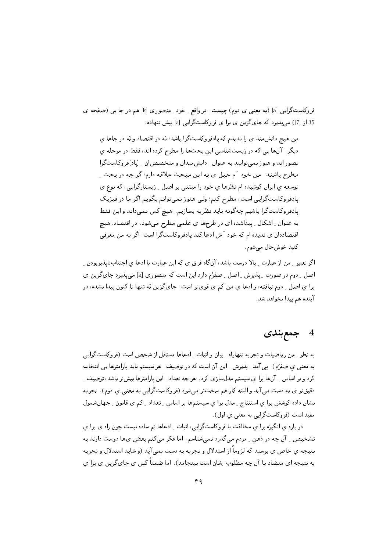فروکاستگرایبی [a] (به معنبی ی دوم) چیست. در واقع ِ خود ِ منصوری [k] هم در جا یبی (صفحه ی 35 از [7]) می پذیرد که جای گزین ی برا ی فروکاستگرایی [a] پیش ننهاده:

من هیچ دانشمند ی را ندیدم که یادفروکاستگرا باشد؛ نَه در اقتصاد و نَه در جاها ی دیگر. آنها یی که در زیستشناسی این بحثها را مطرح کرده اند، فقط در مرحله ی تصور اند و هنوز نمیتوانند به عنوان <sub>-</sub> دانشمندان و متخصصان <sub>-</sub> ایاد]فروکاستگرا مطرح باشند. من خود آم خیل ی به این مبحث علاقه دارم؛ گر چه در بحث ِ توسعه ي ايران كوشيده ام نظرها ي خود را مبتنى بر اصل \_ زيستارگرايى، كه نوع ي پادفروکاستگرایی است، مطرح کنم؛ ولی هنوز نمیتوانم بگویم اگر ما در فیزیک پادفروکاستگرا باشیم چهگونه باید نظریه بسازیم. هیچ کس نمیداند و این فقط به عنوان ِ اشکال ِ پیداشده ای در طرحها ی علمی مطرح میشود. در اقتصاد، هیچ اقتصاددان ی ندیده ام که خود آش ادعا کند پادفروکاستگرا است؛ اگر به من معرفی کنيد خوشحال مي شوم.

اگر تعبیر ِ من از عبارت ِ بالا درست باشد، آنگاه فرق ی که این عبارت با ادعا ی اجتنابنایذپربودن ِ اصل \_ دوم در صورت \_ پذیرش \_ اصل \_ صفرُم دارد این است که منصوری [k] می پذیرد جایگزین ی برا ی اصل ِ دوم نیافته، و ادعا ی من کم ی قویتر است: جایگزین نَه تنها تا کنون پیدا نشده، در آينده هم ييدا نخواهد شد.

# 4 جمع بندی

به نظر ِ من ریاضیات و تجربه تنهاراه ِ بیان و اثبات ِ ادعاها مستقل از شخص است (فروکاستگرایی به معنی ی صفرُم). پی آمد <sub>-</sub> پذیرش <sub>-</sub> این آن است که در توصیف <sub>-</sub> هر سیستم باید پارامترها یی انتخاب کرد و بر اساس ِ آنها برا ی سیستم مدلسازی کرد. هر چه تعداد ِ این پارامترها بیشتر باشد، توصیف ِ دقیقتر ی به دست می آید و البته کار هم سختتر میشود (فروکاستگرایی به معنی ی دوم). تجربه نشان داده كوشش برا ي استنتاج \_ مدل برا ي سيستمها بر اساس \_ تعداد \_ كم ى قانون \_ جهان شمول مفيد است (فروكاستگرايي به معنى ي اول).

در باره ی انگیزه برا ی مخالفت با فروکاستگرایی، اثبات ِ ادعاها پَم ساده نیست چون راه ی برا ی تشخیص \_ آن چه در ذهن \_ مردم میىگذرد نمىشناسم. اما فكر مى كنم بعض ىها دوست دارند به نتیجه ی خاص ی برسند که لزوماً از استدلال و تجربه به دست نمبی آید (و شاید استدلال و تجربه به نتیجه ای متضاد با آن چه مطلوب ِشان است بینجامد). اما ضمناً کس ی جایگزین ی برا ی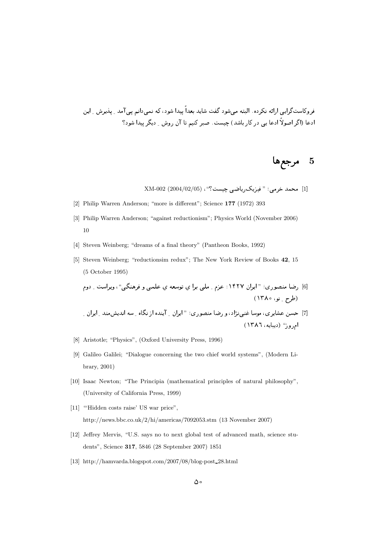عروفسف برابع، الجديد الله التجميع المستقبل المستقبل المستقبل المستقبل المستقبل المستقبل المستقبل المستقبل المس الخبي (الكراسوية الخب يبي عرض الإنجلسية المستنبس التعبير للعبيم في الن روس إلا عياس بين النواع المستنب

5 مرجع**ها** 

 $\rm{XM}\text{-}002~(2004/02/05)$  محمد خرمی ؛ " فیزیک ریاضی چیست ؟" ،

- [2] Philip Warren Anderson; "more is different"; Science **177** (1972) 393
- [3] Philip Warren Anderson; "against reductionism"; Physics World (November 2006) 10
- [4] Steven Weinberg; "dreams of a final theory" (Pantheon Books, 1992)
- [5] Steven Weinberg; "reductionsim redux"; The New York Review of Books **42**, 15 (5 October 1995)

9- 2<9 "5 9\$; " .<- " % C; :}~ 0 " w" # - X# 6 P -& l>R

- 0 Q & .< 5& 7 6 0 " w" # X# 9 -g&W <- " 
; ,3? 7 ام وز" (ديبايه، ١٣٨٦)
- [8] Aristotle; "Physics", (Oxford University Press, 1996)
- [9] Galileo Galilei; "Dialogue concerning the two chief world systems", (Modern Library, 2001)
- [10] Isaac Newton; "The Principia (mathematical principles of natural philosophy", (University of California Press, 1999)
- [11] "Hidden costs raise' US war price", http://news.bbc.co.uk/2/hi/americas/7092053.stm (13 November 2007)
- [12] Jeffrey Mervis, "U.S. says no to next global test of advanced math, science students", Science **317**, 5846 (28 September 2007) 1851
- [13] http://hamvarda.blogspot.com/2007/08/blog-post 28.html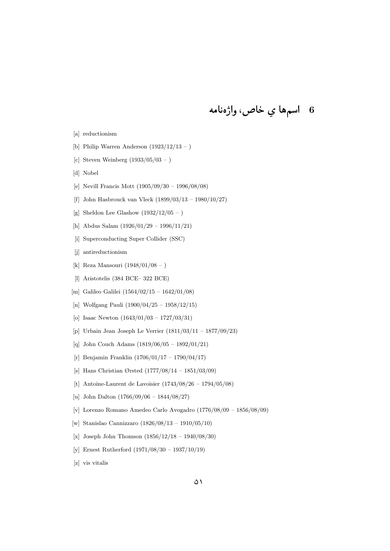# 6 اسمها *ي* خاص، واژەنامە

- [a] reductionism
- [b] Philip Warren Anderson  $(1923/12/13 )$
- [c] Steven Weinberg  $(1933/05/03 )$
- [d] Nobel
- [e] Nevill Francis Mott (1905/09/30 1996/08/08)
- [f] John Hasbrouck van Vleck (1899/03/13 1980/10/27)
- [g] Sheldon Lee Glashow  $(1932/12/05 )$
- [h] Abdus Salam (1926/01/29 1996/11/21)
- [i] Superconducting Super Collider (SSC)
- [i] antireductionism
- [k] Reza Mansouri (1948/01/08 )
- [l] Aristotelis (384 BCE– 322 BCE)
- [m] Galileo Galilei (1564/02/15 1642/01/08)
- [n] Wolfgang Pauli (1900/04/25 1958/12/15)
- [o] Isaac Newton (1643/01/03 1727/03/31)
- [p] Urbain Jean Joseph Le Verrier (1811/03/11 1877/09/23)
- [q] John Couch Adams (1819/06/05 1892/01/21)
- [r] Benjamin Franklin (1706/01/17 1790/04/17)
- [s] Hans Christian Ørsted (1777/08/14 1851/03/09)
- [t] Antoine-Laurent de Lavoisier (1743/08/26 1794/05/08)
- [u] John Dalton (1766/09/06 1844/08/27)
- [v] Lorenzo Romano Amedeo Carlo Avogadro (1776/08/09 1856/08/09)
- [w] Stanislao Cannizzaro (1826/08/13 1910/05/10)
- [x] Joseph John Thomson  $(1856/12/18 1940/08/30)$
- [y] Ernest Rutherford (1971/08/30 1937/10/19)
- [z] vis vitalis